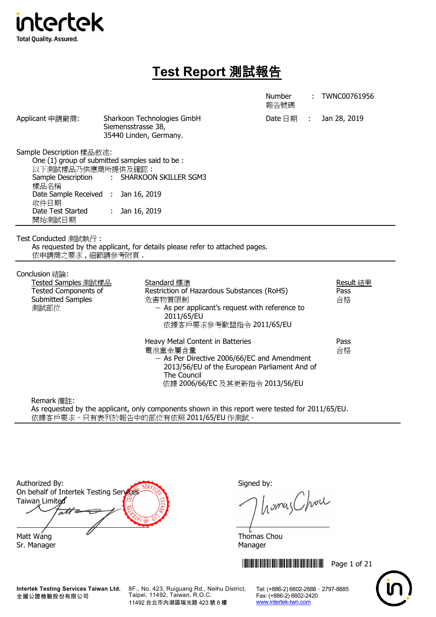

# **Test Report** 測試報告

|                                                                                                                                                                                                |                              |                                                                                                                                                                                                | <b>Number</b><br>報告號碼 |               | TWNC00761956            |
|------------------------------------------------------------------------------------------------------------------------------------------------------------------------------------------------|------------------------------|------------------------------------------------------------------------------------------------------------------------------------------------------------------------------------------------|-----------------------|---------------|-------------------------|
| Applicant 申請廠商:                                                                                                                                                                                | Siemensstrasse 38,           | Sharkoon Technologies GmbH<br>35440 Linden, Germany.                                                                                                                                           | Date 日期               | $\mathcal{L}$ | Jan 28, 2019            |
| Sample Description 樣品敘述:<br>One (1) group of submitted samples said to be:<br>以下測試樣品乃供應商所提供及確認:<br>Sample Description<br>樣品名稱<br>Date Sample Received :<br>收件日期<br>Date Test Started<br>開始測試日期 | Jan 16, 2019<br>Jan 16, 2019 | : SHARKOON SKILLER SGM3                                                                                                                                                                        |                       |               |                         |
| Test Conducted 測試執行:<br>依申請商之要求,細節請參考附頁.                                                                                                                                                       |                              | As requested by the applicant, for details please refer to attached pages.                                                                                                                     |                       |               |                         |
| Conclusion 結論:<br>Tested Samples 測試樣品<br><b>Tested Components of</b><br><b>Submitted Samples</b><br>測試部位                                                                                       |                              | Standard 標準<br>Restriction of Hazardous Substances (RoHS)<br>危害物質限制<br>$-$ As per applicant's request with reference to<br>2011/65/EU<br>依據客戶要求參考歐盟指令 2011/65/EU                               |                       |               | Result 結果<br>Pass<br>合格 |
|                                                                                                                                                                                                |                              | Heavy Metal Content in Batteries<br>電池重金屬含量<br>$-$ As Per Directive 2006/66/EC and Amendment<br>2013/56/EU of the European Parliament And of<br>The Council<br>依據 2006/66/EC 及其更新指令 2013/56/EU |                       |               | Pass<br>合格              |
| Remark 備註:                                                                                                                                                                                     |                              |                                                                                                                                                                                                |                       |               |                         |

As requested by the applicant, only components shown in this report were tested for 2011/65/EU. 依據客戶要求,只有表列於報告中的部位有依照 2011/65/EU 作測試。

| Authorized By:<br>On behalf of Intertek Testing Services |  |
|----------------------------------------------------------|--|
| Taiwan Limited                                           |  |
|                                                          |  |
| Matt Wang                                                |  |

Sr. Manager Manager Manager Manager Manager Manager

Signed by:

homes Chou

 $\frac{U}{V}$ Thomas Chou

\*THJ0761956\* Page 1 of 21



**Intertek Testing Services Taiwan Ltd.** 全國公證檢驗股份有限公司

8F., No. 423, Ruiguang Rd., Neihu District, Taipei, 11492, Taiwan, R.O.C. 11492 台北市內湖區瑞光路 423 號 8 樓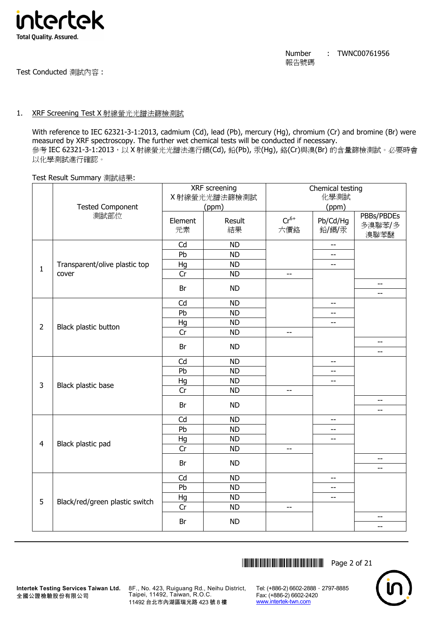

Test Conducted 測試內容 :

## 1. XRF Screening Test X 射線螢光光譜法篩檢測試

With reference to IEC 62321-3-1:2013, cadmium (Cd), lead (Pb), mercury (Hg), chromium (Cr) and bromine (Br) were measured by XRF spectroscopy. The further wet chemical tests will be conducted if necessary. 參考 IEC 62321-3-1:2013, 以 X 射線螢光光譜法進行鎘(Cd), 鉛(Pb), 汞(Hq), 鉻(Cr)與溴(Br) 的含量篩檢測試。必要時會 以化學測試進行確認。

#### Test Result Summary 測試結果:

|                |                                |               | XRF screening |                          | Chemical testing         |                              |
|----------------|--------------------------------|---------------|---------------|--------------------------|--------------------------|------------------------------|
|                |                                |               | X 射線螢光光譜法篩檢測試 |                          | 化學測試                     |                              |
|                | <b>Tested Component</b>        |               | (ppm)         |                          | (ppm)                    |                              |
|                | 測試部位                           | Element<br>元素 | Result<br>結果  | $Cr^{6+}$<br>六價鉻         | Pb/Cd/Hg<br>鉛/鎘/汞        | PBBs/PBDEs<br>多溴聯苯/多<br>溴聯苯醚 |
|                |                                | Cd            | <b>ND</b>     |                          | $\overline{a}$           |                              |
|                |                                | Pb            | <b>ND</b>     |                          | $-$                      |                              |
| $\mathbf{1}$   | Transparent/olive plastic top  | Hg            | ND            |                          | $-$                      |                              |
|                | cover                          | Cr            | <b>ND</b>     | $-$                      |                          |                              |
|                |                                | Br            | <b>ND</b>     |                          |                          | $-$<br>$\overline{a}$        |
|                |                                | Cd            | <b>ND</b>     |                          | $\overline{\phantom{m}}$ |                              |
|                |                                | Pb            | <b>ND</b>     |                          | $-$                      |                              |
|                |                                | Hg            | <b>ND</b>     |                          | $\overline{\phantom{m}}$ |                              |
| $\overline{2}$ | Black plastic button           | Cr            | <b>ND</b>     | $\overline{\phantom{a}}$ |                          |                              |
|                |                                | Br            | <b>ND</b>     |                          |                          | $-$<br>$-$                   |
|                |                                | Cd            | <b>ND</b>     |                          | $\overline{\phantom{m}}$ |                              |
|                |                                | Pb            | <b>ND</b>     |                          | $-$                      |                              |
|                |                                | Hg            | <b>ND</b>     |                          | $-$                      |                              |
| 3              | Black plastic base             | Cr            | <b>ND</b>     | $-$                      |                          |                              |
|                |                                | Br            | <b>ND</b>     |                          |                          | $- -$<br>$-$                 |
|                |                                | Cd            | <b>ND</b>     |                          | $-\hbox{--}$             |                              |
|                |                                | Pb            | <b>ND</b>     |                          | $-$                      |                              |
|                |                                | Hg            | <b>ND</b>     |                          | $-$                      |                              |
| $\overline{4}$ | Black plastic pad              | Cr            | <b>ND</b>     | $\overline{\phantom{a}}$ |                          |                              |
|                |                                |               |               |                          |                          | $\overline{\phantom{a}}$     |
|                |                                | Br            | <b>ND</b>     |                          |                          | $-$                          |
|                |                                | Cd            | <b>ND</b>     |                          | $\overline{\phantom{a}}$ |                              |
|                |                                | Pb            | <b>ND</b>     |                          | $\overline{\phantom{m}}$ |                              |
|                |                                | Hg            | <b>ND</b>     |                          | $-$                      |                              |
| 5              | Black/red/green plastic switch | Cr            | <b>ND</b>     | $-$                      |                          |                              |
|                |                                | Br            | <b>ND</b>     |                          |                          | $-$<br>--                    |
|                |                                |               |               |                          |                          |                              |

**THEFT READERS THE READERS THE READER IN 1979** THE READERS THE READERS THE READERS THE READERS THE READERS THE READ



8F., No. 423, Ruiguang Rd., Neihu District, Taipei, 11492, Taiwan, R.O.C. 11492 台北市內湖區瑞光路 423 號 8 樓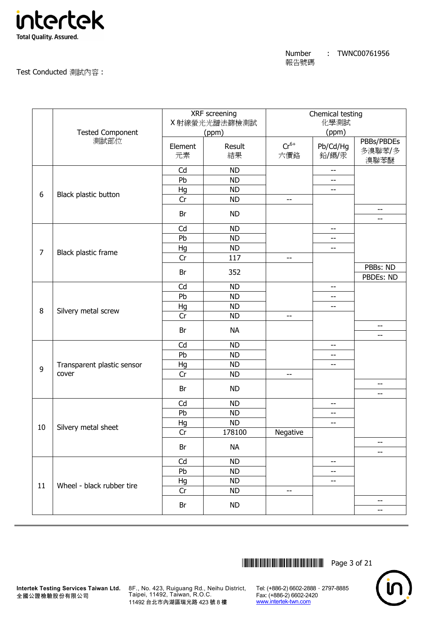

## Test Conducted 測試內容 :

|                |                                 |         | XRF screening |           | Chemical testing |                      |
|----------------|---------------------------------|---------|---------------|-----------|------------------|----------------------|
|                |                                 |         | X射線螢光光譜法篩檢測試  |           | 化學測試             |                      |
|                | <b>Tested Component</b><br>測試部位 |         | (ppm)         |           | (ppm)            |                      |
|                |                                 | Element | Result        | $Cr^{6+}$ | Pb/Cd/Hg         | PBBs/PBDEs<br>多溴聯苯/多 |
|                |                                 | 元素      | 結果            | 六價鉻       | 鉛/鎘/汞            | 溴聯苯醚                 |
|                |                                 | Cd      | <b>ND</b>     |           | $-$              |                      |
|                |                                 | Pb      | <b>ND</b>     |           | --               |                      |
| 6              | Black plastic button            | Hg      | <b>ND</b>     |           | $- -$            |                      |
|                |                                 | Cr      | <b>ND</b>     | --        |                  |                      |
|                |                                 | Br      | <b>ND</b>     |           |                  | $-$<br>$-$           |
|                |                                 | Cd      | <b>ND</b>     |           | $-$              |                      |
|                |                                 | Pb      | <b>ND</b>     |           | --               |                      |
| $\overline{7}$ |                                 | Hg      | <b>ND</b>     |           | $-$              |                      |
|                | Black plastic frame             | Cr      | 117           | --        |                  |                      |
|                |                                 | Br      | 352           |           |                  | PBBs: ND             |
|                |                                 |         |               |           |                  | PBDEs: ND            |
|                |                                 | Cd      | <b>ND</b>     |           | --               |                      |
|                |                                 | Pb      | <b>ND</b>     |           | --               |                      |
| 8              | Silvery metal screw             | Hg      | <b>ND</b>     |           | --               |                      |
|                |                                 | Cr      | <b>ND</b>     | --        |                  |                      |
|                |                                 | Br      | <b>NA</b>     |           |                  | $-$<br>$-$           |
|                |                                 | Cd      | <b>ND</b>     |           | $-$              |                      |
|                |                                 | Pb      | <b>ND</b>     |           | --               |                      |
|                | Transparent plastic sensor      | Hg      | <b>ND</b>     |           | $-$              |                      |
| 9              | cover                           | Cr      | <b>ND</b>     | --        |                  |                      |
|                |                                 | Br      | <b>ND</b>     |           |                  | $-$                  |
|                |                                 | Cd      | <b>ND</b>     |           |                  | $-$                  |
|                |                                 | Pb      | <b>ND</b>     |           | $-\, -$<br>--    |                      |
|                |                                 | Hg      | <b>ND</b>     |           | --               |                      |
| 10             | Silvery metal sheet             | Cr      | 178100        | Negative  |                  |                      |
|                |                                 |         |               |           |                  | $- -$                |
|                |                                 | Br      | <b>NA</b>     |           |                  | --                   |
|                |                                 | Cd      | <b>ND</b>     |           | --               |                      |
|                |                                 | Pb      | <b>ND</b>     |           | --               |                      |
|                | Wheel - black rubber tire       | Hg      | <b>ND</b>     |           | --               |                      |
| 11             |                                 | Cr      | <b>ND</b>     | --        |                  |                      |
|                |                                 | Br      | <b>ND</b>     |           |                  | --<br>$-$            |
|                |                                 |         |               |           |                  |                      |



**Intertek Testing Services Taiwan Ltd.** 8F., No. 423, Ruiguang Rd., Neihu District, Taipei, 11492, Taiwan, R.O.C. 11492 台北市內湖區瑞光路 423 號 8 樓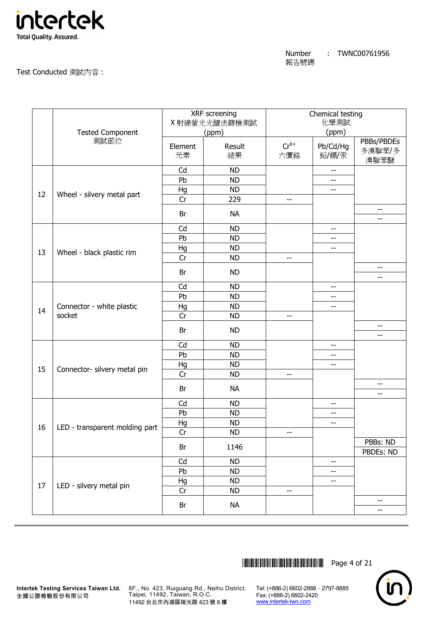

|    | <b>Tested Component</b>             |               | XRF screening<br>X 射線螢光光譜法篩檢測試<br>(ppm) |                  | Chemical testing<br>化學測試<br>(ppm) |                              |
|----|-------------------------------------|---------------|-----------------------------------------|------------------|-----------------------------------|------------------------------|
|    | 測試部位                                | Element<br>元素 | Result<br>結果                            | $Cr^{6+}$<br>六價鉻 | Pb/Cd/Hg<br>鉛/鎘/汞                 | PBBs/PBDEs<br>多溴聯苯/多<br>溴聯苯醚 |
|    |                                     | Cd            | <b>ND</b>                               |                  | $-$                               |                              |
|    |                                     | Pb            | <b>ND</b>                               |                  | $-$                               |                              |
| 12 | Wheel - silvery metal part          | Hg            | <b>ND</b>                               |                  | $\overline{\phantom{a}}$          |                              |
|    |                                     | Cr            | 229                                     | --               |                                   |                              |
|    |                                     | Br            | <b>NA</b>                               |                  |                                   | --<br>$-$                    |
|    |                                     | Cd            | <b>ND</b>                               |                  | $-$                               |                              |
|    |                                     | Pb            | <b>ND</b>                               |                  | --                                |                              |
|    |                                     | Hg            | <b>ND</b>                               |                  | $-$                               |                              |
| 13 | Wheel - black plastic rim           | Cr            | <b>ND</b>                               | $-$              |                                   |                              |
|    |                                     |               |                                         |                  |                                   | $-$                          |
|    |                                     | Br            | <b>ND</b>                               |                  |                                   | $- -$                        |
|    |                                     | Cd            | <b>ND</b>                               |                  | $- -$                             |                              |
|    | Connector - white plastic<br>socket | Pb            | <b>ND</b>                               |                  | --                                |                              |
| 14 |                                     | Hg            | <b>ND</b>                               |                  | $-$                               |                              |
|    |                                     | Cr            | <b>ND</b>                               | --               |                                   |                              |
|    |                                     | Br            | <b>ND</b>                               |                  |                                   | $-$<br>$-$                   |
|    |                                     | Cd            | <b>ND</b>                               |                  | $\overline{\phantom{a}}$          |                              |
|    |                                     | Pb            | <b>ND</b>                               |                  | --                                |                              |
|    |                                     | Hg            | <b>ND</b>                               |                  | --                                |                              |
| 15 | Connector- silvery metal pin        | Cr            | <b>ND</b>                               | $-$              |                                   |                              |
|    |                                     |               |                                         |                  |                                   | $-$                          |
|    |                                     | Br            | <b>NA</b>                               |                  |                                   | $-$                          |
|    |                                     | Cd            | <b>ND</b>                               |                  | $-$                               |                              |
|    |                                     | Pb            | <b>ND</b>                               |                  | $-$                               |                              |
|    |                                     | Hg            | <b>ND</b>                               |                  | $-$                               |                              |
| 16 | LED - transparent molding part      | Cr            | ND                                      | --               |                                   |                              |
|    |                                     | Br            | 1146                                    |                  |                                   | PBBs: ND<br>PBDEs: ND        |
|    |                                     | Cd            | <b>ND</b>                               |                  | --                                |                              |
|    |                                     | Pb            | <b>ND</b>                               |                  | $-$                               |                              |
|    |                                     | Hg            | <b>ND</b>                               |                  | --                                |                              |
| 17 | LED - silvery metal pin             | Cr            | <b>ND</b>                               | $-$              |                                   |                              |
|    |                                     |               |                                         |                  |                                   | $-$                          |
|    |                                     | Br            | <b>NA</b>                               |                  |                                   | --                           |
|    |                                     |               |                                         |                  |                                   |                              |

\*THJ0761956\* Page 4 of 21



**Intertek Testing Services Taiwan Ltd.** 8F., No. 423, Ruiguang Rd., Neihu District, Taipei, 11492, Taiwan, R.O.C. 11492 台北市內湖區瑞光路 423 號 8 樓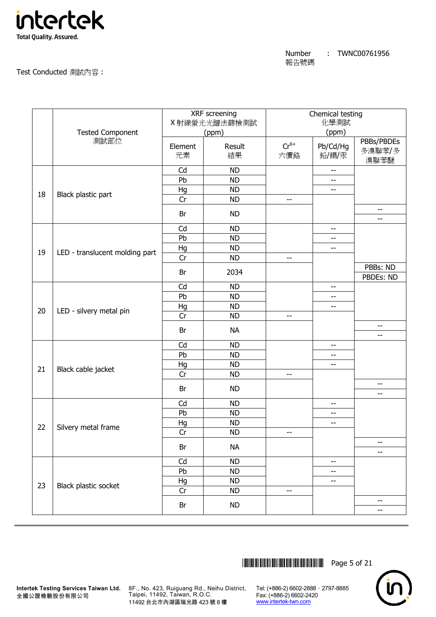

#### Test Conducted 測試內容 :

|    |                                |               | XRF screening<br>X射線螢光光譜法篩檢測試 |                  | Chemical testing<br>化學測試 |                                 |
|----|--------------------------------|---------------|-------------------------------|------------------|--------------------------|---------------------------------|
|    | <b>Tested Component</b>        |               | (ppm)                         |                  | (ppm)                    |                                 |
|    | 測試部位                           |               |                               |                  |                          | PBBs/PBDEs                      |
|    |                                | Element<br>元素 | Result<br>結果                  | $Cr^{6+}$<br>六價鉻 | Pb/Cd/Hg<br>鉛/鎘/汞        | 多溴聯苯/多                          |
|    |                                |               |                               |                  |                          | 溴聯苯醚                            |
|    |                                | Cd            | <b>ND</b>                     |                  | $\overline{\phantom{a}}$ |                                 |
|    |                                | Pb            | <b>ND</b>                     |                  | --                       |                                 |
| 18 | Black plastic part             | Hg            | <b>ND</b>                     |                  | --                       |                                 |
|    |                                | Cr            | <b>ND</b>                     | --               |                          |                                 |
|    |                                | Br            | <b>ND</b>                     |                  |                          | $\overline{\phantom{m}}$<br>$-$ |
|    |                                | Cd            | <b>ND</b>                     |                  | --                       |                                 |
|    |                                | Pb            | <b>ND</b>                     |                  | --                       |                                 |
| 19 | LED - translucent molding part | Hg            | <b>ND</b>                     |                  | $-$                      |                                 |
|    |                                | Cr            | <b>ND</b>                     | --               |                          |                                 |
|    |                                | Br            | 2034                          |                  |                          | PBBs: ND                        |
|    |                                |               |                               |                  |                          | PBDEs: ND                       |
|    |                                | Cd<br>Pb      | <b>ND</b><br><b>ND</b>        |                  | --                       |                                 |
|    |                                |               |                               |                  | --                       |                                 |
| 20 | LED - silvery metal pin        | Hg<br>Cr      | <b>ND</b><br><b>ND</b>        | --               | --                       |                                 |
|    |                                |               |                               |                  |                          | $-$                             |
|    |                                | Br            | <b>NA</b>                     |                  |                          | $-$                             |
|    |                                | Cd            | <b>ND</b>                     |                  | $-$                      |                                 |
|    |                                | Pb            | <b>ND</b>                     |                  | --                       |                                 |
|    |                                | Hg            | <b>ND</b>                     |                  | --                       |                                 |
| 21 | Black cable jacket             | Cr            | <b>ND</b>                     | --               |                          |                                 |
|    |                                | Br            | <b>ND</b>                     |                  |                          | $-$                             |
|    |                                |               |                               |                  |                          | --                              |
|    |                                | Cd            | <b>ND</b>                     |                  | $-\, -$                  |                                 |
|    |                                | Pb            | <b>ND</b>                     |                  | --                       |                                 |
| 22 | Silvery metal frame            | Hg<br>Cr      | <b>ND</b>                     |                  | --                       |                                 |
|    |                                |               | <b>ND</b>                     | --               |                          | --                              |
|    |                                | Br            | <b>NA</b>                     |                  |                          | --                              |
|    |                                | Cd            | <b>ND</b>                     |                  | --                       |                                 |
|    |                                | Pb            | <b>ND</b>                     |                  | --                       |                                 |
| 23 |                                | Hg            | <b>ND</b>                     |                  | --                       |                                 |
|    | Black plastic socket           | Cr            | <b>ND</b>                     | --               |                          |                                 |
|    |                                | Br            | <b>ND</b>                     |                  |                          | $-$                             |
|    |                                |               |                               |                  |                          | $-$                             |



**Intertek Testing Services Taiwan Ltd.** 8F., No. 423, Ruiguang Rd., Neihu District, Taipei, 11492, Taiwan, R.O.C. 11492 台北市內湖區瑞光路 423 號 8 樓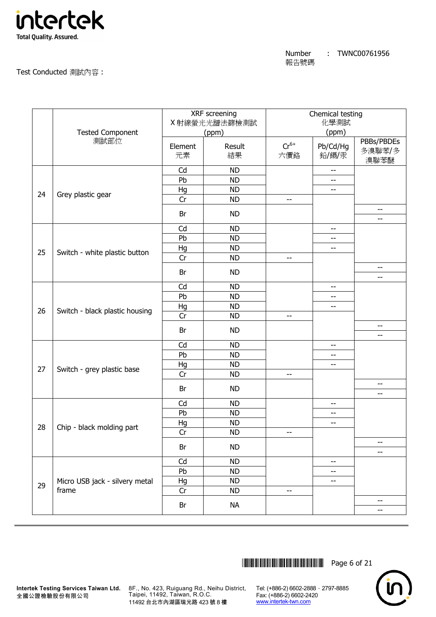

#### Test Conducted 測試內容 :

|    |                                |         | XRF screening<br>X 射線螢光光譜法篩檢測試 |                          | Chemical testing<br>化學測試 |            |
|----|--------------------------------|---------|--------------------------------|--------------------------|--------------------------|------------|
|    | <b>Tested Component</b>        |         | (ppm)                          |                          | (ppm)                    |            |
|    | 測試部位                           |         |                                |                          |                          | PBBs/PBDEs |
|    |                                | Element | Result                         | $Cr^{6+}$                | Pb/Cd/Hg                 | 多溴聯苯/多     |
|    |                                | 元素      | 結果                             | 六價鉻                      | 鉛/鎘/汞                    | 溴聯苯醚       |
|    |                                | Cd      | <b>ND</b>                      |                          | $-$                      |            |
|    |                                | Pb      | <b>ND</b>                      |                          | --                       |            |
| 24 | Grey plastic gear              | Hg      | <b>ND</b>                      |                          | --                       |            |
|    |                                | Cr      | <b>ND</b>                      | $-$                      |                          |            |
|    |                                | Br      | <b>ND</b>                      |                          |                          | --<br>--   |
|    |                                | Cd      | <b>ND</b>                      |                          | --                       |            |
|    |                                | Pb      | <b>ND</b>                      |                          | --                       |            |
| 25 |                                | Hg      | <b>ND</b>                      |                          | $-$                      |            |
|    | Switch - white plastic button  | Cr      | <b>ND</b>                      | $\overline{\phantom{a}}$ |                          |            |
|    |                                | Br      | <b>ND</b>                      |                          |                          | $-$        |
|    |                                |         |                                |                          |                          | --         |
|    |                                | Cd      | <b>ND</b>                      |                          | --                       |            |
|    |                                | Pb      | <b>ND</b>                      |                          | --                       |            |
| 26 | Switch - black plastic housing | Hg      | <b>ND</b>                      |                          | --                       |            |
|    |                                | Cr      | <b>ND</b>                      | $\overline{\phantom{m}}$ |                          | --         |
|    |                                | Br      | <b>ND</b>                      |                          |                          | $-$        |
|    |                                | Cd      | <b>ND</b>                      |                          | --                       |            |
|    |                                | Pb      | <b>ND</b>                      |                          | --                       |            |
|    |                                | Hg      | <b>ND</b>                      |                          | --                       |            |
| 27 | Switch - grey plastic base     | Cr      | <b>ND</b>                      | $-$                      |                          |            |
|    |                                | Br      | <b>ND</b>                      |                          |                          | --         |
|    |                                |         |                                |                          |                          | $-$        |
|    |                                | Cd      | <b>ND</b>                      |                          | --                       |            |
|    |                                | Pb      | <b>ND</b>                      |                          | --                       |            |
| 28 | Chip - black molding part      | Hg      | <b>ND</b>                      |                          | --                       |            |
|    |                                | Cr      | <b>ND</b>                      | --                       |                          |            |
|    |                                | Br      | <b>ND</b>                      |                          |                          | --<br>$-$  |
|    |                                | Cd      | <b>ND</b>                      |                          | $\overline{\phantom{a}}$ |            |
|    |                                | Pb      | <b>ND</b>                      |                          | --                       |            |
|    | Micro USB jack - silvery metal | Hg      | <b>ND</b>                      |                          | --                       |            |
| 29 | frame                          | Cr      | <b>ND</b>                      | $\overline{\phantom{a}}$ |                          |            |
|    |                                | Br      | <b>NA</b>                      |                          |                          | --         |
|    |                                |         |                                |                          |                          | $-$        |



**Intertek Testing Services Taiwan Ltd.** 8F., No. 423, Ruiguang Rd., Neihu District, Taipei, 11492, Taiwan, R.O.C. 11492 台北市內湖區瑞光路 423 號 8 樓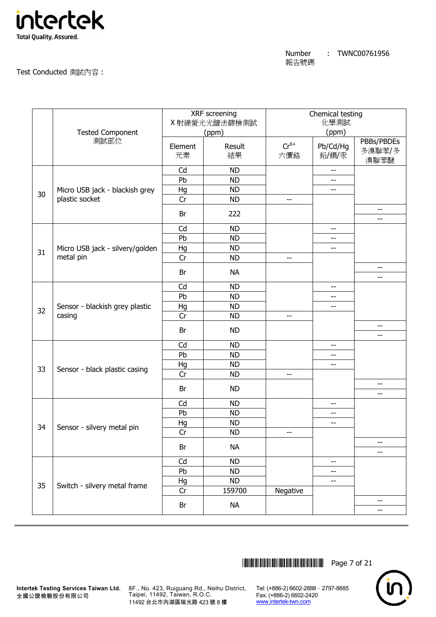

|    | <b>Tested Component</b>         |               | XRF screening<br>X 射線螢光光譜法篩檢測試<br>(ppm) |                  | Chemical testing<br>化學測試<br>(ppm) |                              |  |
|----|---------------------------------|---------------|-----------------------------------------|------------------|-----------------------------------|------------------------------|--|
|    | 測試部位                            | Element<br>元素 | Result<br>結果                            | $Cr^{6+}$<br>六價鉻 | Pb/Cd/Hg<br>鉛/鎘/汞                 | PBBs/PBDEs<br>多溴聯苯/多<br>溴聯苯醚 |  |
|    |                                 | Cd            | <b>ND</b>                               |                  | $-$                               |                              |  |
|    |                                 | Pb            | <b>ND</b>                               |                  | $-$                               |                              |  |
| 30 | Micro USB jack - blackish grey  | Hg            | <b>ND</b>                               |                  | --                                |                              |  |
|    | plastic socket                  | Cr            | <b>ND</b>                               | --               |                                   |                              |  |
|    |                                 | Br            | 222                                     |                  |                                   | $-$                          |  |
|    |                                 | Cd            | <b>ND</b>                               |                  | --                                |                              |  |
|    |                                 | Pb            | <b>ND</b>                               |                  | --                                |                              |  |
|    | Micro USB jack - silvery/golden | Hg            | <b>ND</b>                               |                  | --                                |                              |  |
| 31 | metal pin                       | Cr            | <b>ND</b>                               | $-$              |                                   |                              |  |
|    |                                 | Br            | <b>NA</b>                               |                  |                                   | $- -$<br>$-$                 |  |
|    |                                 | Cd            | <b>ND</b>                               |                  | $-$                               |                              |  |
|    |                                 | Pb            | <b>ND</b>                               |                  | --                                |                              |  |
|    | Sensor - blackish grey plastic  | Hg            | <b>ND</b>                               |                  | $-$                               |                              |  |
| 32 | casing                          | Cr            | <b>ND</b>                               | --               |                                   |                              |  |
|    |                                 | Br            | <b>ND</b>                               |                  |                                   | $-$                          |  |
|    |                                 |               |                                         |                  |                                   | $- -$                        |  |
|    |                                 | Cd<br>Pb      | <b>ND</b><br><b>ND</b>                  |                  | $\overline{\phantom{a}}$          |                              |  |
|    |                                 |               |                                         |                  | --                                |                              |  |
| 33 | Sensor - black plastic casing   | Hg<br>Cr      | <b>ND</b><br><b>ND</b>                  | --               | --                                |                              |  |
|    |                                 |               |                                         |                  |                                   | $-$                          |  |
|    |                                 | Br            | <b>ND</b>                               |                  |                                   | $-$                          |  |
|    |                                 | Cd            | <b>ND</b>                               |                  | --                                |                              |  |
|    |                                 | Pb            | <b>ND</b>                               |                  | --                                |                              |  |
| 34 | Sensor - silvery metal pin      | Hg            | <b>ND</b>                               |                  | --                                |                              |  |
|    |                                 | Cr            | <b>ND</b>                               | --               |                                   |                              |  |
|    |                                 | Br            | <b>NA</b>                               |                  |                                   | --<br>--                     |  |
|    |                                 | Cd            | <b>ND</b>                               |                  | --                                |                              |  |
|    |                                 | Pb            | <b>ND</b>                               |                  | --                                |                              |  |
|    |                                 | Hg            | <b>ND</b>                               |                  | --                                |                              |  |
| 35 | Switch - silvery metal frame    | Cr            | 159700                                  | Negative         |                                   |                              |  |
|    |                                 |               |                                         |                  |                                   | $-$                          |  |
|    |                                 | Br            | <b>NA</b>                               |                  |                                   |                              |  |

\*THJ0761956\* Page 7 of 21



**Intertek Testing Services Taiwan Ltd.** 8F., No. 423, Ruiguang Rd., Neihu District, Taipei, 11492, Taiwan, R.O.C. 11492 台北市內湖區瑞光路 423 號 8 樓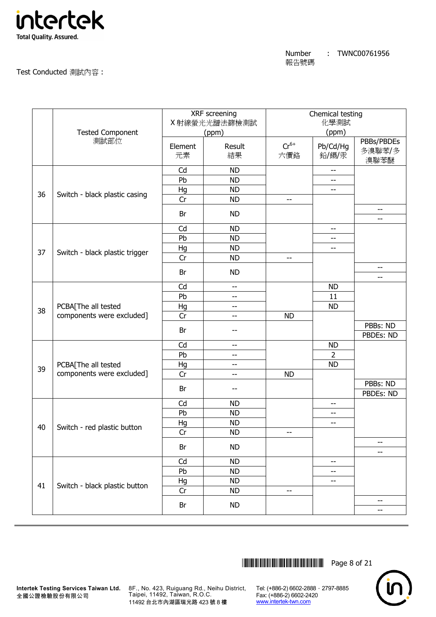

|    | <b>Tested Component</b>                          |               | XRF screening<br>X射線螢光光譜法篩檢測試<br>(ppm) |                                                     | Chemical testing<br>化學測試<br>(ppm) |                              |
|----|--------------------------------------------------|---------------|----------------------------------------|-----------------------------------------------------|-----------------------------------|------------------------------|
|    | 測試部位                                             | Element<br>元素 | Result<br>結果                           | $Cr^{6+}$<br>六價鉻                                    | Pb/Cd/Hg<br>鉛/鎘/汞                 | PBBs/PBDEs<br>多溴聯苯/多<br>溴聯苯醚 |
|    |                                                  | Cd            | <b>ND</b>                              |                                                     | $-$                               |                              |
|    |                                                  | Pb            | <b>ND</b>                              |                                                     | --                                |                              |
| 36 | Switch - black plastic casing                    | Hg            | <b>ND</b>                              |                                                     | --                                |                              |
|    |                                                  | Cr            | <b>ND</b>                              | $\hspace{0.05cm} -\hspace{0.05cm} -\hspace{0.05cm}$ |                                   |                              |
|    |                                                  | Br            | <b>ND</b>                              |                                                     |                                   | --<br>$-$                    |
|    |                                                  | Cd            | <b>ND</b>                              |                                                     | --                                |                              |
|    |                                                  | Pb            | <b>ND</b>                              |                                                     | $-$                               |                              |
|    |                                                  | Hg            | <b>ND</b>                              |                                                     | --                                |                              |
| 37 | Switch - black plastic trigger                   | Cr            | <b>ND</b>                              | --                                                  |                                   |                              |
|    |                                                  | Br            | <b>ND</b>                              |                                                     |                                   | $-$                          |
|    |                                                  |               |                                        |                                                     |                                   | --                           |
|    |                                                  | Cd            | $\overline{\phantom{a}}$               |                                                     | <b>ND</b>                         |                              |
|    | PCBA[The all tested<br>components were excluded] | Pb            | --                                     |                                                     | 11                                |                              |
| 38 |                                                  | Hg            | $-\,-$                                 |                                                     | <b>ND</b>                         |                              |
|    |                                                  | Cr            | $-$                                    | <b>ND</b>                                           |                                   |                              |
|    |                                                  | Br            | ۰.                                     |                                                     |                                   | PBBs: ND                     |
|    |                                                  | Cd            | $-$                                    |                                                     |                                   | PBDEs: ND                    |
|    |                                                  | Pb            |                                        |                                                     | <b>ND</b><br>$\overline{2}$       |                              |
|    |                                                  |               | --                                     |                                                     |                                   |                              |
| 39 | PCBA[The all tested<br>components were excluded] | Hg            | $- -$                                  |                                                     | <b>ND</b>                         |                              |
|    |                                                  | Cr            | $-$                                    | <b>ND</b>                                           |                                   | PBBs: ND                     |
|    |                                                  | Br            | --                                     |                                                     |                                   | PBDEs: ND                    |
|    |                                                  | Cd            | <b>ND</b>                              |                                                     | --                                |                              |
|    |                                                  | Pb            | <b>ND</b>                              |                                                     | $\overline{\phantom{a}}$          |                              |
|    |                                                  |               | <b>ND</b>                              |                                                     |                                   |                              |
| 40 | Switch - red plastic button                      | Hg<br>Cr      | <b>ND</b>                              |                                                     | $-$                               |                              |
|    |                                                  |               |                                        | --                                                  |                                   | --                           |
|    |                                                  | Br            | <b>ND</b>                              |                                                     |                                   | $-$                          |
|    |                                                  | Cd            | <b>ND</b>                              |                                                     | --                                |                              |
|    |                                                  | Pb            | <b>ND</b>                              |                                                     | $-$                               |                              |
|    |                                                  | Hg            | <b>ND</b>                              |                                                     | --                                |                              |
| 41 | Switch - black plastic button                    | Cr            | <b>ND</b>                              | $-$                                                 |                                   |                              |
|    |                                                  |               |                                        |                                                     |                                   | $-$                          |
|    |                                                  | Br            | <b>ND</b>                              |                                                     |                                   | --                           |

\*THJ0761956\* Page 8 of 21



**Intertek Testing Services Taiwan Ltd.** 8F., No. 423, Ruiguang Rd., Neihu District, Taipei, 11492, Taiwan, R.O.C. 11492 台北市內湖區瑞光路 423 號 8 樓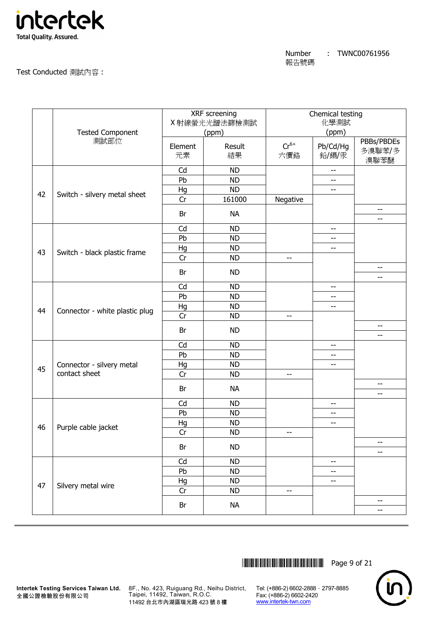

|    | <b>Tested Component</b>        |               | <b>XRF</b> screening<br>X 射線螢光光譜法篩檢測試<br>(ppm) |                          | Chemical testing<br>化學測試<br>(ppm) |                                 |
|----|--------------------------------|---------------|------------------------------------------------|--------------------------|-----------------------------------|---------------------------------|
|    | 測試部位                           | Element<br>元素 | Result<br>結果                                   | $Cr^{6+}$<br>六價鉻         | Pb/Cd/Hg<br>鉛/鎘/汞                 | PBBs/PBDEs<br>多溴聯苯/多<br>溴聯苯醚    |
|    |                                | Cd            | <b>ND</b>                                      |                          | $\overline{\phantom{m}}$          |                                 |
|    |                                | Pb            | <b>ND</b>                                      |                          | $-$                               |                                 |
| 42 | Switch - silvery metal sheet   | Hg            | <b>ND</b>                                      |                          | --                                |                                 |
|    |                                | Cr            | 161000                                         | Negative                 |                                   |                                 |
|    |                                | Br            | <b>NA</b>                                      |                          |                                   | $-$<br>$\overline{\phantom{m}}$ |
|    |                                | Cd            | <b>ND</b>                                      |                          | $-$                               |                                 |
|    |                                | Pb            | <b>ND</b>                                      |                          | $-$                               |                                 |
|    |                                | Hg            | <b>ND</b>                                      |                          | --                                |                                 |
| 43 | Switch - black plastic frame   | Cr            | <b>ND</b>                                      | $-$                      |                                   |                                 |
|    |                                | Br            | <b>ND</b>                                      |                          |                                   | $\overline{\phantom{a}}$        |
|    |                                |               |                                                |                          |                                   | $-$                             |
|    |                                | Cd<br>Pb      | <b>ND</b><br><b>ND</b>                         |                          | $- -$                             |                                 |
|    |                                |               | <b>ND</b>                                      |                          | $\overline{\phantom{m}}$          |                                 |
| 44 | Connector - white plastic plug | Hg<br>Cr      | <b>ND</b>                                      | $-$                      | $- -$                             |                                 |
|    |                                |               |                                                |                          |                                   | $-$                             |
|    |                                | Br            | <b>ND</b>                                      |                          |                                   | $\overline{\phantom{m}}$        |
|    |                                | Cd            | <b>ND</b>                                      |                          | $\overline{\phantom{a}}$          |                                 |
|    |                                | Pb            | <b>ND</b>                                      |                          | --                                |                                 |
| 45 | Connector - silvery metal      | Hg            | <b>ND</b>                                      |                          | --                                |                                 |
|    | contact sheet                  | Cr            | <b>ND</b>                                      | $-$                      |                                   |                                 |
|    |                                | Br            | <b>NA</b>                                      |                          |                                   | $\overline{\phantom{a}}$<br>--  |
|    |                                | Cd            | <b>ND</b>                                      |                          | $\overline{\phantom{m}}$          |                                 |
|    |                                | Pb            | <b>ND</b>                                      |                          | $\overline{\phantom{a}}$          |                                 |
|    |                                | Hg            | <b>ND</b>                                      |                          | $- -$                             |                                 |
| 46 | Purple cable jacket            | Cr            | ND                                             | $-\, -$                  |                                   |                                 |
|    |                                |               |                                                |                          |                                   | --                              |
|    |                                | Br            | <b>ND</b>                                      |                          |                                   | $\overline{\phantom{a}}$        |
|    |                                | Cd            | <b>ND</b>                                      |                          | $-$                               |                                 |
|    |                                | Pb            | <b>ND</b>                                      |                          | $-\hbox{--}$                      |                                 |
| 47 | Silvery metal wire             | Hg            | <b>ND</b>                                      |                          | $-$                               |                                 |
|    |                                | Cr            | <b>ND</b>                                      | $\overline{\phantom{m}}$ |                                   |                                 |
|    |                                | Br            | <b>NA</b>                                      |                          |                                   | $\overline{\phantom{m}}$        |
|    |                                |               |                                                |                          |                                   | --                              |

\*THJ0761956\* Page 9 of 21



**Intertek Testing Services Taiwan Ltd.** 8F., No. 423, Ruiguang Rd., Neihu District, Taipei, 11492, Taiwan, R.O.C. 11492 台北市內湖區瑞光路 423 號 8 樓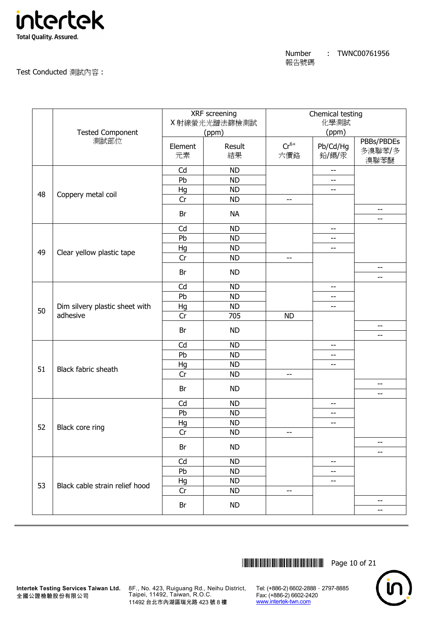

Chemical testing

#### X 射線螢光光譜法篩檢測試 (ppm) 化學測試 Tested Component (ppm) (ppm) (ppm) 測試部位 Element 元素 Result 結果  $Cr^{6+}$ 六價鉻 Pb/Cd/Hg 鉛/鎘/汞 PBBs/PBDEs 多溴聯苯/多 溴聯苯醚 Cd | ND | --Pb | ND | --Hg | ND | --Cr | ND | -- -- 48 Coppery metal coil Br NA -- Cd | ND | --Pb | ND | --Hg | ND | | --Cr | ND | -- -- 49 Clear yellow plastic tape Br ND -- Cd | ND | --Pb | ND | --Hg | ND | --Cr 705 ND --  $\overline{50}$  Dim silvery plastic sheet with adhesive Br ND -- Cd | ND | --Pb | ND | --Hg | ND | --Cr | ND | -- -- 51 Black fabric sheath Br ND -- Cd | ND | --Pb | ND | --Hg | ND | --Cr | ND | -- -- 52 | Black core ring Br ND -- Cd | ND | --Pb | ND | --Hg | ND | --Cr | ND | -- -- 53 Black cable strain relief hood Br ND --

XRF screening

\*THJ0761956\* Page 10 of 21



8F., No. 423, Ruiguang Rd., Neihu District, Taipei, 11492, Taiwan, R.O.C. 11492 台北市內湖區瑞光路 423 號 8 樓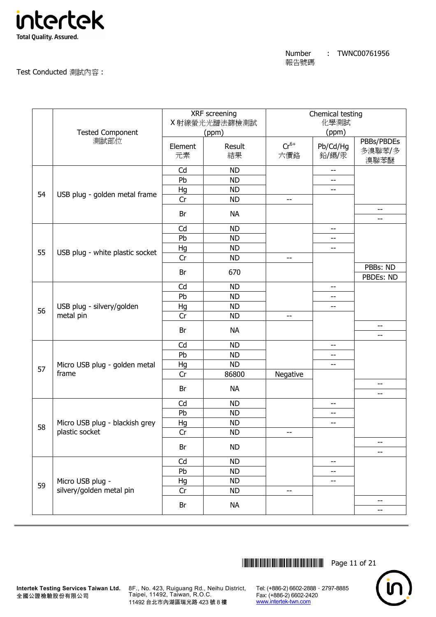

#### Test Conducted 測試內容 :

|    |                                        |         | XRF screening<br>X射線螢光光譜法篩檢測試 |           | Chemical testing<br>化學測試 |                          |
|----|----------------------------------------|---------|-------------------------------|-----------|--------------------------|--------------------------|
|    | <b>Tested Component</b>                |         | (ppm)                         |           | (ppm)                    |                          |
|    | 測試部位                                   |         |                               |           |                          | PBBs/PBDEs               |
|    |                                        | Element | Result                        | $Cr^{6+}$ | Pb/Cd/Hg                 | 多溴聯苯/多                   |
|    |                                        | 元素      | 結果                            | 六價鉻       | 鉛/鎘/汞                    | 溴聯苯醚                     |
|    |                                        | Cd      | <b>ND</b>                     |           | --                       |                          |
|    |                                        | Pb      | <b>ND</b>                     |           | --                       |                          |
| 54 | USB plug - golden metal frame          | Hg      | <b>ND</b>                     |           | --                       |                          |
|    |                                        | Cr      | <b>ND</b>                     | $-$       |                          |                          |
|    |                                        | Br      | <b>NA</b>                     |           |                          | --<br>--                 |
|    |                                        | Cd      | <b>ND</b>                     |           | --                       |                          |
|    |                                        | Pb      | <b>ND</b>                     |           | --                       |                          |
| 55 |                                        | Hg      | <b>ND</b>                     |           | --                       |                          |
|    | USB plug - white plastic socket        | Cr      | <b>ND</b>                     | $-$       |                          |                          |
|    |                                        | Br      | 670                           |           |                          | PBBs: ND                 |
|    |                                        |         |                               |           |                          | PBDEs: ND                |
|    |                                        | Cd      | <b>ND</b>                     |           | --                       |                          |
|    | USB plug - silvery/golden<br>metal pin | Pb      | <b>ND</b>                     |           | $-$                      |                          |
| 56 |                                        | Hg      | <b>ND</b>                     |           | --                       |                          |
|    |                                        | Cr      | <b>ND</b>                     | $-$       |                          |                          |
|    |                                        | Br      | <b>NA</b>                     |           |                          | --<br>$-$                |
|    |                                        | Cd      | <b>ND</b>                     |           | --                       |                          |
|    |                                        | Pb      | <b>ND</b>                     |           | --                       |                          |
|    | Micro USB plug - golden metal          | Hg      | <b>ND</b>                     |           | --                       |                          |
| 57 | frame                                  | Cr      | 86800                         | Negative  |                          |                          |
|    |                                        | Br      | <b>NA</b>                     |           |                          | --                       |
|    |                                        |         |                               |           |                          | $-$                      |
|    |                                        | Cd      | <b>ND</b>                     |           | --                       |                          |
|    |                                        | Pb      | <b>ND</b>                     |           | --                       |                          |
| 58 | Micro USB plug - blackish grey         | Hg      | <b>ND</b>                     |           | --                       |                          |
|    | plastic socket                         | Cr      | <b>ND</b>                     | --        |                          |                          |
|    |                                        | Br      | <b>ND</b>                     |           |                          | --<br>--                 |
|    |                                        | Cd      | <b>ND</b>                     |           | --                       |                          |
|    |                                        | Pb      | <b>ND</b>                     |           | --                       |                          |
| 59 | Micro USB plug -                       | Hg      | <b>ND</b>                     |           | --                       |                          |
|    | silvery/golden metal pin               | Cr      | <b>ND</b>                     | $-$       |                          |                          |
|    |                                        | Br      | <b>NA</b>                     |           |                          | $\overline{\phantom{m}}$ |
|    |                                        |         |                               |           |                          | --                       |



**Intertek Testing Services Taiwan Ltd.** 8F., No. 423, Ruiguang Rd., Neihu District, Taipei, 11492, Taiwan, R.O.C. 11492 台北市內湖區瑞光路 423 號 8 樓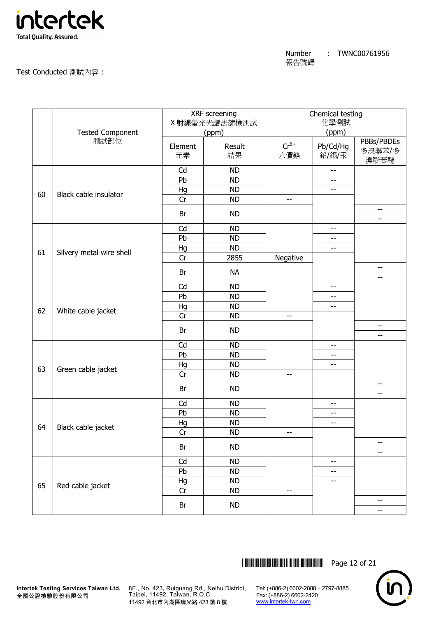

## Test Conducted 測試內容 :

|    |                          |               | XRF screening<br>X 射線螢光光譜法篩檢測試 |                  | Chemical testing<br>化學測試 |                              |
|----|--------------------------|---------------|--------------------------------|------------------|--------------------------|------------------------------|
|    | <b>Tested Component</b>  |               | (ppm)                          |                  | (ppm)                    |                              |
|    | 測試部位                     | Element<br>元素 | Result<br>結果                   | $Cr^{6+}$<br>六價鉻 | Pb/Cd/Hg<br>鉛/鎘/汞        | PBBs/PBDEs<br>多溴聯苯/多<br>溴聯苯醚 |
|    |                          | Cd            | <b>ND</b>                      |                  | $\overline{\phantom{a}}$ |                              |
|    |                          | Pb            | <b>ND</b>                      |                  | --                       |                              |
| 60 | Black cable insulator    | Hg            | <b>ND</b>                      |                  | $-$                      |                              |
|    |                          | Cr            | <b>ND</b>                      | $-$              |                          |                              |
|    |                          | Br            | <b>ND</b>                      |                  |                          | $-$<br>$-$                   |
|    |                          | Cd            | <b>ND</b>                      |                  | $-$                      |                              |
|    |                          | Pb            | <b>ND</b>                      |                  | --                       |                              |
|    |                          | Hg            | <b>ND</b>                      |                  | --                       |                              |
| 61 | Silvery metal wire shell | Cr            | 2855                           | Negative         |                          |                              |
|    |                          | Br            | <b>NA</b>                      |                  |                          | $- -$                        |
|    |                          |               |                                |                  |                          | --                           |
|    |                          | Cd            | <b>ND</b>                      |                  | --                       |                              |
|    |                          | Pb            | <b>ND</b>                      |                  | --                       |                              |
| 62 | White cable jacket       | Hg            | <b>ND</b>                      |                  | --                       |                              |
|    |                          | Cr            | <b>ND</b>                      | $-$              |                          | $-$                          |
|    |                          | Br            | <b>ND</b>                      |                  |                          | --                           |
|    |                          | Cd            | <b>ND</b>                      |                  | --                       |                              |
|    |                          | Pb            | <b>ND</b>                      |                  | --                       |                              |
|    |                          | Hg            | <b>ND</b>                      |                  | --                       |                              |
| 63 | Green cable jacket       | Cr            | <b>ND</b>                      | $-$              |                          |                              |
|    |                          | Br            | <b>ND</b>                      |                  |                          | $-$                          |
|    |                          |               |                                |                  |                          | --                           |
|    |                          | Cd<br>Pb      | <b>ND</b><br><b>ND</b>         |                  | $-\,$ $-$<br>--          |                              |
|    |                          |               |                                |                  |                          |                              |
| 64 | Black cable jacket       | Hg<br>Cr      | <b>ND</b><br><b>ND</b>         | --               | --                       |                              |
|    |                          |               |                                |                  |                          | --                           |
|    |                          | Br            | <b>ND</b>                      |                  |                          | --                           |
|    |                          | Cd            | <b>ND</b>                      |                  | --                       |                              |
|    |                          | Pb            | <b>ND</b>                      |                  | --                       |                              |
| 65 |                          | Hg            | <b>ND</b>                      |                  | --                       |                              |
|    | Red cable jacket         | Cr            | <b>ND</b>                      | --               |                          |                              |
|    |                          | Br            | <b>ND</b>                      |                  |                          | $\overline{\phantom{a}}$     |
|    |                          |               |                                |                  |                          | --                           |



**Intertek Testing Services Taiwan Ltd.** 8F., No. 423, Ruiguang Rd., Neihu District, Taipei, 11492, Taiwan, R.O.C. 11492 台北市內湖區瑞光路 423 號 8 樓

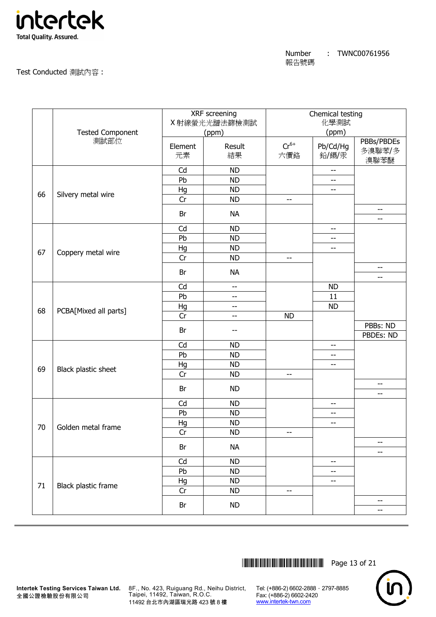

## Test Conducted 測試內容 :

|    |                                 |          | XRF screening<br>X 射線螢光光譜法篩檢測試 |                          | Chemical testing<br>化學測試 |                          |
|----|---------------------------------|----------|--------------------------------|--------------------------|--------------------------|--------------------------|
|    | <b>Tested Component</b><br>測試部位 | Element  | (ppm)<br>Result                | $Cr^{6+}$                | (ppm)<br>Pb/Cd/Hg        | PBBs/PBDEs               |
|    |                                 | 元素       | 結果                             | 六價鉻                      | 鉛/鎘/汞                    | 多溴聯苯/多<br>溴聯苯醚           |
|    |                                 | Cd       | <b>ND</b>                      |                          | $\overline{\phantom{a}}$ |                          |
|    |                                 | Pb       | <b>ND</b>                      |                          | --                       |                          |
| 66 | Silvery metal wire              | Hg       | <b>ND</b>                      |                          | $-$                      |                          |
|    |                                 | Cr       | <b>ND</b>                      | $-$                      |                          |                          |
|    |                                 | Br       | <b>NA</b>                      |                          |                          | --<br>$-$                |
|    |                                 | Cd       | <b>ND</b>                      |                          | $-$                      |                          |
|    |                                 | Pb       | <b>ND</b>                      |                          | --                       |                          |
|    |                                 | Hg       | <b>ND</b>                      |                          | --                       |                          |
| 67 | Coppery metal wire              | Cr       | <b>ND</b>                      | $\overline{\phantom{a}}$ |                          |                          |
|    |                                 | Br       | <b>NA</b>                      |                          |                          | $- -$                    |
|    |                                 | Cd       | $-$                            |                          | <b>ND</b>                | --                       |
|    |                                 | Pb       | $-$                            |                          | 11                       |                          |
|    |                                 |          | $\overline{\phantom{m}}$       |                          | <b>ND</b>                |                          |
| 68 | PCBA[Mixed all parts]           | Hg<br>Cr | $-$                            | <b>ND</b>                |                          |                          |
|    |                                 |          |                                |                          |                          | PBBs: ND                 |
|    |                                 | Br       | --                             |                          |                          | PBDEs: ND                |
|    |                                 | Cd       | <b>ND</b>                      |                          | $\overline{\phantom{a}}$ |                          |
|    |                                 | Pb       | <b>ND</b>                      |                          | --                       |                          |
|    |                                 | Hg       | <b>ND</b>                      |                          | --                       |                          |
| 69 | Black plastic sheet             | Cr       | <b>ND</b>                      | $-$                      |                          |                          |
|    |                                 | Br       | <b>ND</b>                      |                          |                          | $-$                      |
|    |                                 |          |                                |                          |                          | --                       |
|    | Golden metal frame              | Cd<br>Pb | <b>ND</b><br><b>ND</b>         |                          | $-\,$ $-$<br>--          |                          |
|    |                                 |          | <b>ND</b>                      |                          | --                       |                          |
| 70 |                                 | Hg<br>Cr | <b>ND</b>                      | --                       |                          |                          |
|    |                                 |          |                                |                          |                          | $- \, -$                 |
|    |                                 | Br       | <b>NA</b>                      |                          |                          | --                       |
|    |                                 | Cd       | <b>ND</b>                      |                          | --                       |                          |
|    |                                 | Pb       | <b>ND</b>                      |                          | --                       |                          |
| 71 | Black plastic frame             | Hg       | <b>ND</b>                      |                          | --                       |                          |
|    |                                 | Cr       | <b>ND</b>                      | --                       |                          |                          |
|    |                                 | Br       | <b>ND</b>                      |                          |                          | $\overline{\phantom{m}}$ |
|    |                                 |          |                                |                          |                          | --                       |



全國公證檢驗股份有限公司

**Intertek Testing Services Taiwan Ltd.** 8F., No. 423, Ruiguang Rd., Neihu District, Taipei, 11492, Taiwan, R.O.C. 11492 台北市內湖區瑞光路 423 號 8 樓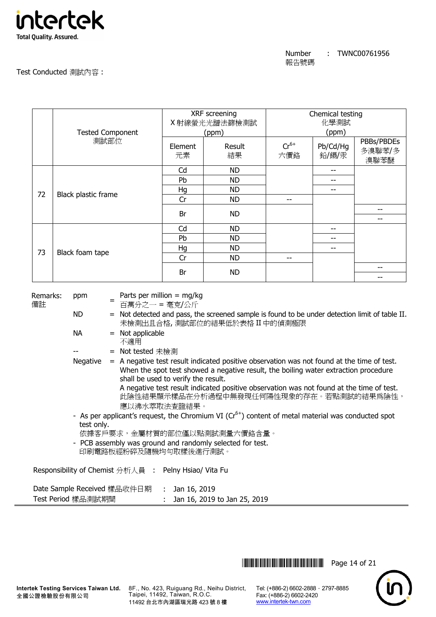

|      |                         | XRF screening<br>X射線螢光光譜法篩檢測試 |              | Chemical testing<br>化學測試 |                   |                              |
|------|-------------------------|-------------------------------|--------------|--------------------------|-------------------|------------------------------|
|      |                         |                               |              |                          |                   |                              |
|      | <b>Tested Component</b> | (ppm)                         |              | (ppm)                    |                   |                              |
| 測試部位 |                         | Element<br>元素                 | Result<br>結果 | $Cr^{6+}$<br>六價鉻         | Pb/Cd/Hg<br>鉛/鎘/汞 | PBBs/PBDEs<br>多溴聯苯/多<br>溴聯苯醚 |
|      |                         |                               | <b>ND</b>    |                          | --                |                              |
|      | Black plastic frame     | Pb                            | <b>ND</b>    |                          | --                |                              |
| 72   |                         | Hg                            | ND.          |                          | --                |                              |
|      |                         | Cr                            | <b>ND</b>    | --                       |                   |                              |
|      |                         | Br                            | <b>ND</b>    |                          |                   |                              |
|      |                         |                               |              |                          |                   |                              |
|      |                         | Cd                            | <b>ND</b>    |                          | --                |                              |
| 73   | Black foam tape         | Pb                            | <b>ND</b>    |                          |                   |                              |
|      |                         | Hg                            | <b>ND</b>    |                          | --                |                              |
|      |                         | Cr                            | <b>ND</b>    | --                       |                   |                              |
|      |                         | Br                            | <b>ND</b>    |                          |                   |                              |
|      |                         |                               |              |                          |                   |                              |

| Remarks:<br>備註     | ppm        | Parts per million = $mg/kg$<br>百萬分之一 = 毫克/公斤                                                                                                                                                                                                                                                                                                                                      |
|--------------------|------------|-----------------------------------------------------------------------------------------------------------------------------------------------------------------------------------------------------------------------------------------------------------------------------------------------------------------------------------------------------------------------------------|
|                    | ND.        | = Not detected and pass, the screened sample is found to be under detection limit of table II.<br>未檢測出且合格,測試部位的結果低於表格 II 中的偵測極限                                                                                                                                                                                                                                                   |
|                    | NA         | $=$ Not applicable<br>不適用                                                                                                                                                                                                                                                                                                                                                         |
|                    |            | = Not tested 未檢測                                                                                                                                                                                                                                                                                                                                                                  |
|                    | Negative   | $=$ A negative test result indicated positive observation was not found at the time of test.<br>When the spot test showed a negative result, the boiling water extraction procedure<br>shall be used to verify the result.<br>A negative test result indicated positive observation was not found at the time of test.<br>此陰性結果顯示樣品在分析過程中無發現任何陽性現象的存在。若點測試的結果爲陰性,<br>應以沸水萃取法查證結果。 |
|                    |            | - As per applicant's request, the Chromium VI ( $Cr6+$ ) content of metal material was conducted spot                                                                                                                                                                                                                                                                             |
|                    | test only. |                                                                                                                                                                                                                                                                                                                                                                                   |
|                    |            | 依據客戶要求,金屬材質的部位僅以點測試測量六價鉻含量。                                                                                                                                                                                                                                                                                                                                                       |
|                    |            | - PCB assembly was ground and randomly selected for test.<br>印刷電路板經粉碎及隨機均勻取樣後進行測試。                                                                                                                                                                                                                                                                                                |
|                    |            | Responsibility of Chemist 分析人員 : Pelny Hsiao/ Vita Fu                                                                                                                                                                                                                                                                                                                             |
|                    |            | Date Sample Received 樣品收件日期 : Jan 16, 2019                                                                                                                                                                                                                                                                                                                                        |
| Test Period 樣品測試期間 |            | Jan 16, 2019 to Jan 25, 2019                                                                                                                                                                                                                                                                                                                                                      |

\*THJ0761956\* Page 14 of 21



**Intertek Testing Services Taiwan Ltd.** 8F., No. 423, Ruiguang Rd., Neihu District, Taipei, 11492, Taiwan, R.O.C. 11492 台北市內湖區瑞光路 423 號 8 樓

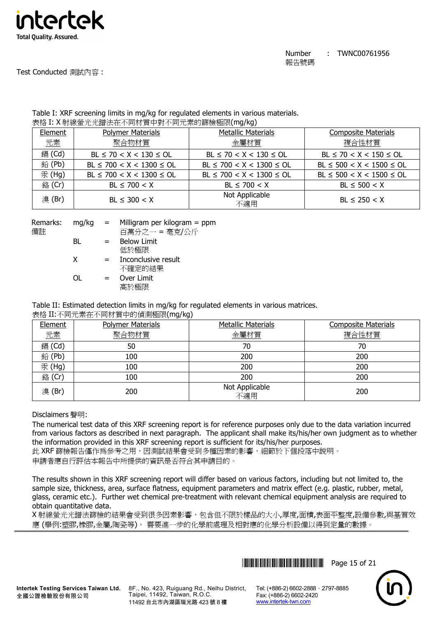

#### Table I: XRF screening limits in mg/kg for regulated elements in various materials. 表格 I: X 射線螢光光譜法在不同材質中對不同元素的篩檢極限(mg/kg)

| Element | <b>Polymer Materials</b>       | <b>Metallic Materials</b>      | <b>Composite Materials</b>     |
|---------|--------------------------------|--------------------------------|--------------------------------|
| 元素      | 聚合物材質                          | 金屬材質                           | 複合性材質                          |
| 鎘 (Cd)  | $BL \le 70 < X < 130 \le OL$   | $BL \le 70 < X < 130 \le OL$   | $BL \le 70 < X < 150 \le OL$   |
| 鉛(Pb)   | $BL \le 700 < X < 1300 \le OL$ | $BL \le 700 < X < 1300 \le OL$ | $BL \le 500 < X < 1500 \le OL$ |
| 汞 (Hg)  | $BL \le 700 < X < 1300 \le OL$ | $BL \le 700 < X < 1300 \le OL$ | $BL \le 500 < X < 1500 \le OL$ |
| 銘 (Cr)  | $BL \le 700 < X$               | $BL \le 700 < X$               | $BL \le 500 < X$               |
| 溴(Br)   | $BL \leq 300 < X$              | Not Applicable<br>不適用          | $BL \le 250 < X$               |

| Remarks:<br>備註 | mg/kg | $=$ | Milligram per kilogram $=$ ppm<br>百萬分之一 = 毫克/公斤 |
|----------------|-------|-----|-------------------------------------------------|
|                | BL    | $=$ | <b>Below Limit</b><br>低於極限                      |
|                | x     | $=$ | Inconclusive result<br>不確定的結果                   |
|                | ∩L    | $=$ | Over Limit<br>高於極限                              |

Table II: Estimated detection limits in mg/kg for regulated elements in various matrices.

表格 II:不同元素在不同材質中的偵測極限(mg/kg)

| Element | <b>Polymer Materials</b> | <b>Metallic Materials</b> | <b>Composite Materials</b> |
|---------|--------------------------|---------------------------|----------------------------|
| 元素      | 聚合物材質                    | 金屬材質                      | 複合性材質                      |
| 鎘 (Cd)  | 50                       | 70                        | 70                         |
| 鉛(Pb)   | 100                      | 200                       | 200                        |
| 汞 (Hg)  | 100                      | 200                       | 200                        |
| 銘 (Cr)  | 100                      | 200                       | 200                        |
| 溴(Br)   | 200                      | Not Applicable<br>不適用     | 200                        |

# Disclaimers 聲明:

The numerical test data of this XRF screening report is for reference purposes only due to the data variation incurred from various factors as described in next paragraph. The applicant shall make its/his/her own judgment as to whether the information provided in this XRF screening report is sufficient for its/his/her purposes.

此 XRF 篩檢報告僅作為參考之用,因測試結果會受到多種因素的影響,細節於下個段落中說明。 申請者應自行評估本報告中所提供的資訊是否符合其申請目的。

The results shown in this XRF screening report will differ based on various factors, including but not limited to, the sample size, thickness, area, surface flatness, equipment parameters and matrix effect (e.g. plastic, rubber, metal, glass, ceramic etc.). Further wet chemical pre-treatment with relevant chemical equipment analysis are required to obtain quantitative data.

X 射線螢光光譜法篩檢的結果會受到很多因素影響,包含但不限於樣品的大小,厚度,面積,表面平整度,設備參數,與基質效 應 (舉例:塑膠,橡膠,金屬,陶瓷等), 需要進一步的化學前處理及相對應的化學分析設備以得到定量的數據。





8F., No. 423, Ruiguang Rd., Neihu District, Taipei, 11492, Taiwan, R.O.C. 11492 台北市內湖區瑞光路 423 號 8 樓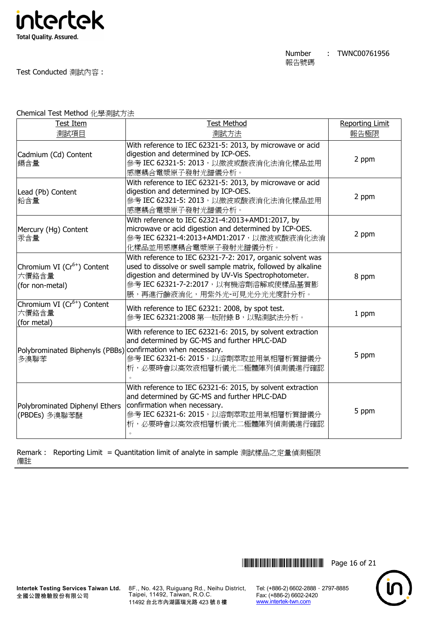

| Test Item                                                            | <b>Test Method</b>                                                                                                                                                                                                                                          | <b>Reporting Limit</b> |
|----------------------------------------------------------------------|-------------------------------------------------------------------------------------------------------------------------------------------------------------------------------------------------------------------------------------------------------------|------------------------|
| 測試項目                                                                 | 測試方法                                                                                                                                                                                                                                                        | 報告極限                   |
| Cadmium (Cd) Content<br>鎘含量                                          | With reference to IEC 62321-5: 2013, by microwave or acid<br>digestion and determined by ICP-OES.<br>參考 IEC 62321-5: 2013, 以微波或酸液消化法消化樣品並用<br>感應耦合電漿原子發射光譜儀分析。                                                                                              | 2 ppm                  |
| Lead (Pb) Content<br>鉛含量                                             | With reference to IEC 62321-5: 2013, by microwave or acid<br>digestion and determined by ICP-OES.<br>參考 IEC 62321-5: 2013, 以微波或酸液消化法消化樣品並用<br>感應耦合電漿原子發射光譜儀分析。                                                                                              | 2 ppm                  |
| Mercury (Hg) Content<br>汞含量                                          | With reference to IEC 62321-4:2013+AMD1:2017, by<br>microwave or acid digestion and determined by ICP-OES.<br>參考 IEC 62321-4:2013+AMD1:2017, 以微波或酸液消化法消<br>化樣品並用感應耦合電漿原子發射光譜儀分析。                                                                            | 2 ppm                  |
| Chromium VI (Cr <sup>6+</sup> ) Content<br>六價鉻含量<br>(for non-metal)  | With reference to IEC 62321-7-2: 2017, organic solvent was<br>used to dissolve or swell sample matrix, followed by alkaline<br>digestion and determined by UV-Vis Spectrophotometer.<br>參考 IEC 62321-7-2:2017, 以有機溶劑溶解或使樣品基質膨<br>脹,再進行鹼液消化,用紫外光-可見光分光光度計分析。 | 8 ppm                  |
| Chromium VI (Cr <sup>6+</sup> ) Content<br>六價鉻含量<br>(for metal)      | With reference to IEC 62321: 2008, by spot test.<br>參考 IEC 62321:2008 第一版附錄 B, 以點測試法分析。                                                                                                                                                                     | 1 ppm                  |
| Polybrominated Biphenyls (PBBs) confirmation when necessary.<br>多溴聯苯 | With reference to IEC 62321-6: 2015, by solvent extraction<br>and determined by GC-MS and further HPLC-DAD<br>參考 IEC 62321-6: 2015, 以溶劑萃取並用氣相層析質譜儀分<br>析,必要時會以高效液相層析儀光二極體陣列偵測儀進行確認                                                                          | 5 ppm                  |
| Polybrominated Diphenyl Ethers<br>(PBDEs) 多溴聯苯醚                      | With reference to IEC 62321-6: 2015, by solvent extraction<br>and determined by GC-MS and further HPLC-DAD<br>confirmation when necessary.<br>參考 IEC 62321-6: 2015, 以溶劑萃取並用氣相層析質譜儀分<br>析,必要時會以高效液相層析儀光二極體陣列偵測儀進行確認                                          | 5 ppm                  |

Chemical Test Method 化學測試方法

Remark : Reporting Limit = Quantitation limit of analyte in sample 測試樣品之定量偵測極限 備註

 $\lambda$ 

全國公證檢驗股份有限公司

**Intertek Testing Services Taiwan Ltd.** 8F., No. 423, Ruiguang Rd., Neihu District, Taipei, 11492, Taiwan, R.O.C. 11492 台北市內湖區瑞光路 423 號 8 樓

\*THJ0761956\* Page 16 of 21

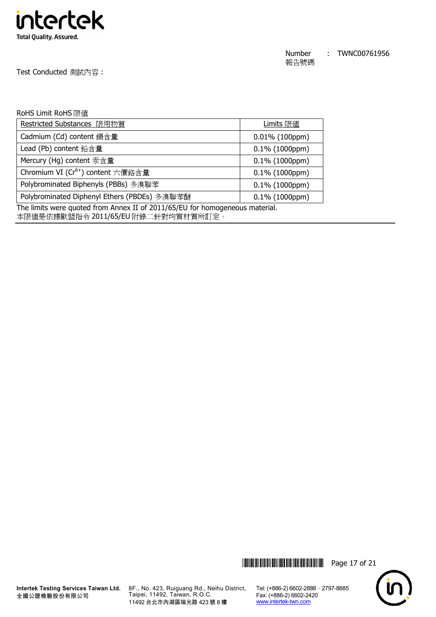

Test Conducted 測試內容 :

#### RoHS Limit RoHS 限值

| Restricted Substances 限用物質                                                   | Limits 限值         |  |  |
|------------------------------------------------------------------------------|-------------------|--|--|
| Cadmium (Cd) content 鎘含量                                                     | $0.01\%$ (100ppm) |  |  |
| Lead (Pb) content 鉛含量                                                        | $0.1\%$ (1000ppm) |  |  |
| Mercury (Hg) content 汞含量                                                     | $0.1\%$ (1000ppm) |  |  |
| Chromium VI (Cr <sup>6+</sup> ) content 六價鉻含量                                | $0.1\%$ (1000ppm) |  |  |
| Polybrominated Biphenyls (PBBs) 多溴聯苯                                         | $0.1\%$ (1000ppm) |  |  |
| Polybrominated Diphenyl Ethers (PBDEs) 多溴聯苯醚                                 | $0.1\%$ (1000ppm) |  |  |
| The limits were quoted from Annex II of 2011/65/EU for homogeneous material. |                   |  |  |

本限值是依據歐盟指令 2011/65/EU 附錄二針對均質材質所訂定。



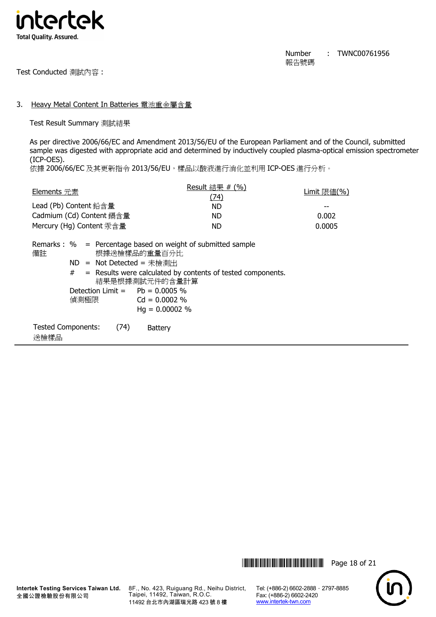

Test Conducted 測試內容 :

#### 3. Heavy Metal Content In Batteries 電池重金屬含量

Test Result Summary 測試結果

As per directive 2006/66/EC and Amendment 2013/56/EU of the European Parliament and of the Council, submitted sample was digested with appropriate acid and determined by inductively coupled plasma-optical emission spectrometer (ICP-OES).

依據 2006/66/EC 及其更新指令 2013/56/EU, 樣品以酸液進行消化並利用 ICP-OES 進行分析。

| <b>Elements</b> 元素       |                                                                                                            | Result 結果 # $(%)$<br>(74)                                                                                                                                                 | Limit 限値 $(\% )$ |
|--------------------------|------------------------------------------------------------------------------------------------------------|---------------------------------------------------------------------------------------------------------------------------------------------------------------------------|------------------|
| Lead (Pb) Content 鉛含量    |                                                                                                            | ND.                                                                                                                                                                       |                  |
|                          | Cadmium (Cd) Content 鎘含量                                                                                   | ND.                                                                                                                                                                       | 0.002            |
| Mercury (Hg) Content 汞含量 |                                                                                                            | ND.                                                                                                                                                                       | 0.0005           |
| 備註                       | 根據送檢樣品的重量百分比<br>$ND = Not Detection = \n#é$<br>結果是根據測試元件的含量計算<br>Detection Limit $=$ Pb = 0.0005 %<br>偵測極限 | Remarks : $\%$ = Percentage based on weight of submitted sample<br>$#$ = Results were calculated by contents of tested components.<br>$Cd = 0.0002$ %<br>$Hq = 0.00002 %$ |                  |

| <b>Tested Components:</b> | (74) | <b>Battery</b> |
|---------------------------|------|----------------|
| 送檢樣品                      |      |                |





**Intertek Testing Services Taiwan Ltd.** 全國公證檢驗股份有限公司

8F., No. 423, Ruiguang Rd., Neihu District, Taipei, 11492, Taiwan, R.O.C. 11492 台北市內湖區瑞光路 423 號 8 樓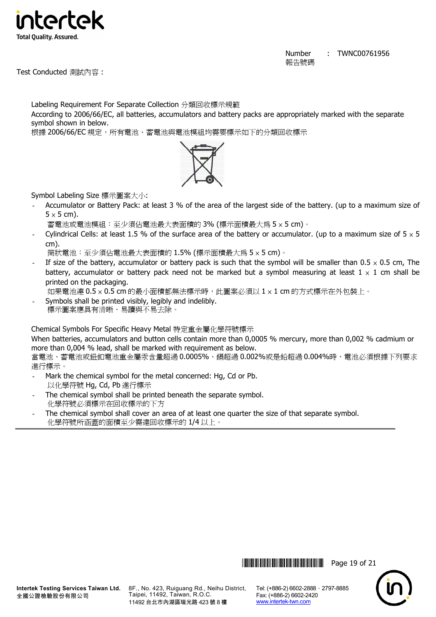

Test Conducted 測試內容 :

Labeling Requirement For Separate Collection 分類回收標示規範 According to 2006/66/EC, all batteries, accumulators and battery packs are appropriately marked with the separate symbol shown in below.





Symbol Labeling Size 標示圖案大小:

- Accumulator or Battery Pack: at least 3 % of the area of the largest side of the battery. (up to a maximum size of  $5 \times 5$  cm).

蓄電池或電池模組:至少須佔電池最大表面積的 3% (標示面積最大為 5 × 5 cm)。

Cylindrical Cells: at least 1.5 % of the surface area of the battery or accumulator. (up to a maximum size of  $5 \times 5$ cm).

筒狀電池:至少須佔電池最大表面積的 1.5% (標示面積最大為 5 × 5 cm)。

If size of the battery, accumulator or battery pack is such that the symbol will be smaller than  $0.5 \times 0.5$  cm, The battery, accumulator or battery pack need not be marked but a symbol measuring at least  $1 \times 1$  cm shall be printed on the packaging.

如果電池連 0.5 × 0.5 cm 的最小面積都無法標示時,此圖案必須以 1 × 1 cm 的方式標示在外包裝上。

Symbols shall be printed visibly, legibly and indelibly. 標示圖案應具有清晰、易讀與不易去除。

Chemical Symbols For Specific Heavy Metal 特定重金屬化學符號標示

When batteries, accumulators and button cells contain more than 0,0005 % mercury, more than 0,002 % cadmium or more than 0,004 % lead, shall be marked with requirement as below.

當電池、蓄電池或鈕釦電池重金屬汞含量超過 0.0005%、鎘超過 0.002%或是鉛超過 0.004%時,電池必須根據下列要求 進行標示。

- Mark the chemical symbol for the metal concerned: Hg, Cd or Pb. 以化學符號 Hg, Cd, Pb 進行標示
- The chemical symbol shall be printed beneath the separate symbol. 化學符號必須標示在回收標示的下方
- The chemical symbol shall cover an area of at least one quarter the size of that separate symbol. 化學符號所涵蓋的面積至少需達回收標示的 1/4 以上。

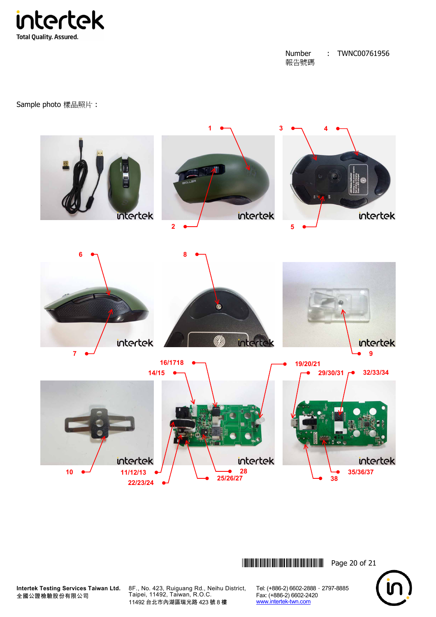

Sample photo 樣品照片 :



\*THJ0761956\* Page 20 of 21



**Intertek Testing Services Taiwan Ltd.** 全國公證檢驗股份有限公司

8F., No. 423, Ruiguang Rd., Neihu District, Taipei, 11492, Taiwan, R.O.C. 11492 台北市內湖區瑞光路 423 號 8 樓